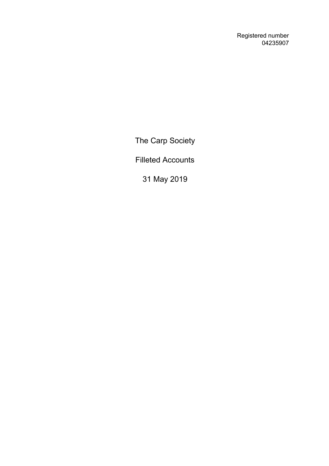Registered number 04235907

The Carp Society

Filleted Accounts

31 May 2019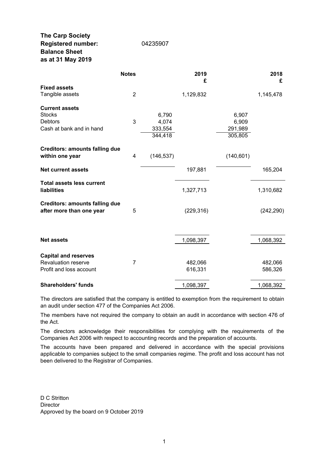# **The Carp Society Registered number:** 04235907 **Balance Sheet as at 31 May 2019**

| 14235907 |  |  |
|----------|--|--|

# **Notes 2019 2018 £ £ Fixed assets** Tangible assets 2 1,129,832 1,145,478 **Current assets** Stocks 6,790 6,907 Debtors 3 4,074 6,909 Cash at bank and in hand 333,554 291,989 344,418 305,805 **Creditors: amounts falling due within one year** 4 (146,537) (140,601) **Net current assets** 197,881 165,204 **Total assets less current liabilities** 1,327,713 1,310,682 **Creditors: amounts falling due after more than one year** 5 (229,316) (242,290) **Net assets 1,098,397 1,068,392 Capital and reserves**

| Revaluation reserve        |  | 482.066   | 482.066   |
|----------------------------|--|-----------|-----------|
| Profit and loss account    |  | 616.331   | 586.326   |
|                            |  |           |           |
| <b>Shareholders' funds</b> |  | 1.098.397 | 1,068,392 |

The directors are satisfied that the company is entitled to exemption from the requirement to obtain an audit under section 477 of the Companies Act 2006.

The members have not required the company to obtain an audit in accordance with section 476 of the Act.

The directors acknowledge their responsibilities for complying with the requirements of the Companies Act 2006 with respect to accounting records and the preparation of accounts.

The accounts have been prepared and delivered in accordance with the special provisions applicable to companies subject to the small companies regime. The profit and loss account has not been delivered to the Registrar of Companies.

D C Stritton **Director** Approved by the board on 9 October 2019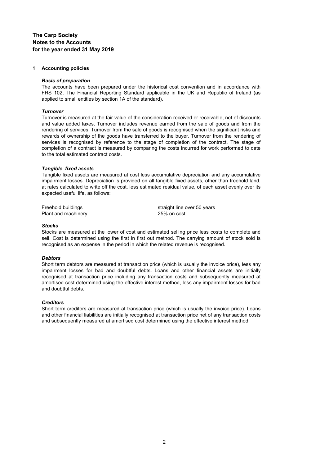# **The Carp Society Notes to the Accounts for the year ended 31 May 2019**

## **1 Accounting policies**

## *Basis of preparation*

The accounts have been prepared under the historical cost convention and in accordance with FRS 102, The Financial Reporting Standard applicable in the UK and Republic of Ireland (as applied to small entities by section 1A of the standard).

## *Turnover*

Turnover is measured at the fair value of the consideration received or receivable, net of discounts and value added taxes. Turnover includes revenue earned from the sale of goods and from the rendering of services. Turnover from the sale of goods is recognised when the significant risks and rewards of ownership of the goods have transferred to the buyer. Turnover from the rendering of services is recognised by reference to the stage of completion of the contract. The stage of completion of a contract is measured by comparing the costs incurred for work performed to date to the total estimated contract costs.

## *Tangible fixed assets*

Tangible fixed assets are measured at cost less accumulative depreciation and any accumulative impairment losses. Depreciation is provided on all tangible fixed assets, other than freehold land, at rates calculated to write off the cost, less estimated residual value, of each asset evenly over its expected useful life, as follows:

Plant and machinery 25% on cost

Freehold buildings straight line over 50 years

#### *Stocks*

Stocks are measured at the lower of cost and estimated selling price less costs to complete and sell. Cost is determined using the first in first out method. The carrying amount of stock sold is recognised as an expense in the period in which the related revenue is recognised.

#### *Debtors*

Short term debtors are measured at transaction price (which is usually the invoice price), less any impairment losses for bad and doubtful debts. Loans and other financial assets are initially recognised at transaction price including any transaction costs and subsequently measured at amortised cost determined using the effective interest method, less any impairment losses for bad and doubtful debts.

#### *Creditors*

Short term creditors are measured at transaction price (which is usually the invoice price). Loans and other financial liabilities are initially recognised at transaction price net of any transaction costs and subsequently measured at amortised cost determined using the effective interest method.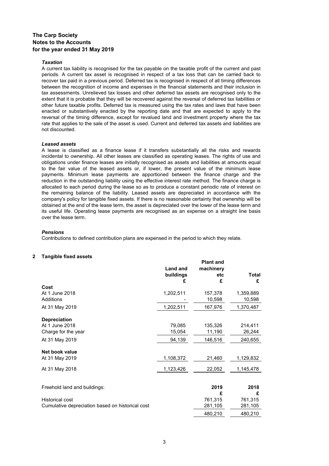# **The Carp Society Notes to the Accounts for the year ended 31 May 2019**

## *Taxation*

A current tax liability is recognised for the tax payable on the taxable profit of the current and past periods. A current tax asset is recognised in respect of a tax loss that can be carried back to recover tax paid in a previous period. Deferred tax is recognised in respect of all timing differences between the recognition of income and expenses in the financial statements and their inclusion in tax assessments. Unrelieved tax losses and other deferred tax assets are recognised only to the extent that it is probable that they will be recovered against the reversal of deferred tax liabilities or other future taxable profits. Deferred tax is measured using the tax rates and laws that have been enacted or substantively enacted by the reporting date and that are expected to apply to the reversal of the timing difference, except for revalued land and investment property where the tax rate that applies to the sale of the asset is used. Current and deferred tax assets and liabilities are not discounted.

## *Leased assets*

A lease is classified as a finance lease if it transfers substantially all the risks and rewards incidental to ownership. All other leases are classified as operating leases. The rights of use and obligations under finance leases are initially recognised as assets and liabilities at amounts equal to the fair value of the leased assets or, if lower, the present value of the minimum lease payments. Minimum lease payments are apportioned between the finance charge and the reduction in the outstanding liability using the effective interest rate method. The finance charge is allocated to each period during the lease so as to produce a constant periodic rate of interest on the remaining balance of the liability. Leased assets are depreciated in accordance with the company's policy for tangible fixed assets. If there is no reasonable certainty that ownership will be obtained at the end of the lease term, the asset is depreciated over the lower of the lease term and its useful life. Operating lease payments are recognised as an expense on a straight line basis over the lease term.

#### *Pensions*

Contributions to defined contribution plans are expensed in the period to which they relate.

## **2 Tangible fixed assets**

|                                                  | Land and<br>buildings<br>£ | <b>Plant and</b><br>machinery<br>etc<br>£ | <b>Total</b><br>£ |
|--------------------------------------------------|----------------------------|-------------------------------------------|-------------------|
| Cost                                             |                            |                                           |                   |
| At 1 June 2018                                   | 1,202,511                  | 157,378                                   | 1,359,889         |
| Additions                                        |                            | 10,598                                    | 10,598            |
| At 31 May 2019                                   | 1,202,511                  | 167,976                                   | 1,370,487         |
| <b>Depreciation</b>                              |                            |                                           |                   |
| At 1 June 2018                                   | 79,085                     | 135,326                                   | 214,411           |
| Charge for the year                              | 15,054                     | 11,190                                    | 26,244            |
| At 31 May 2019                                   | 94,139                     | 146,516                                   | 240,655           |
| Net book value                                   |                            |                                           |                   |
| At 31 May 2019                                   | 1,108,372                  | 21,460                                    | 1,129,832         |
| At 31 May 2018                                   | 1,123,426                  | 22,052                                    | 1,145,478         |
|                                                  |                            |                                           |                   |
| Freehold land and buildings:                     |                            | 2019                                      | 2018              |
|                                                  |                            | £                                         | £                 |
| Historical cost                                  |                            | 761,315                                   | 761,315           |
| Cumulative depreciation based on historical cost |                            | 281,105                                   | 281,105           |
|                                                  |                            | 480,210                                   | 480,210           |